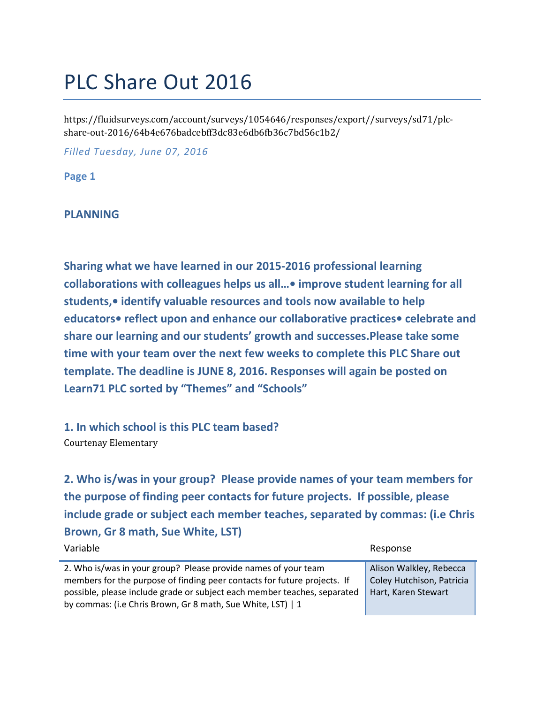# PLC Share Out 2016

https://fluidsurveys.com/account/surveys/1054646/responses/export//surveys/sd71/plcshare-out-2016/64b4e676badcebff3dc83e6db6fb36c7bd56c1b2/

*Filled Tuesday, June 07, 2016*

**Page 1**

#### **PLANNING**

**Sharing what we have learned in our 2015-2016 professional learning collaborations with colleagues helps us all…• improve student learning for all students,• identify valuable resources and tools now available to help educators• reflect upon and enhance our collaborative practices• celebrate and share our learning and our students' growth and successes.Please take some time with your team over the next few weeks to complete this PLC Share out template. The deadline is JUNE 8, 2016. Responses will again be posted on Learn71 PLC sorted by "Themes" and "Schools"**

**1. In which school is this PLC team based?** Courtenay Elementary

**2. Who is/was in your group? Please provide names of your team members for the purpose of finding peer contacts for future projects. If possible, please include grade or subject each member teaches, separated by commas: (i.e Chris Brown, Gr 8 math, Sue White, LST)**

| 2. Who is/was in your group? Please provide names of your team           | Alison Walkley, Rebecca   |
|--------------------------------------------------------------------------|---------------------------|
| members for the purpose of finding peer contacts for future projects. If | Coley Hutchison, Patricia |
| possible, please include grade or subject each member teaches, separated | Hart, Karen Stewart       |
| by commas: (i.e Chris Brown, Gr 8 math, Sue White, LST)   1              |                           |

Variable Response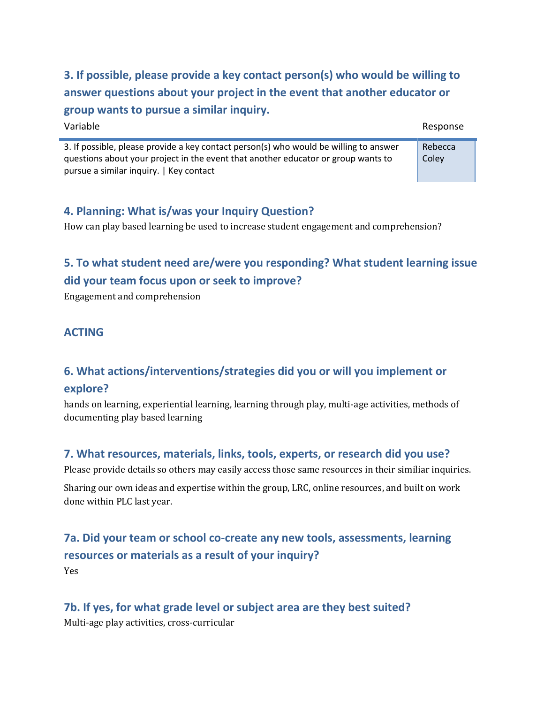**3. If possible, please provide a key contact person(s) who would be willing to answer questions about your project in the event that another educator or group wants to pursue a similar inquiry.**

Variable Response

Rebecca **Coley** 

3. If possible, please provide a key contact person(s) who would be willing to answer questions about your project in the event that another educator or group wants to pursue a similar inquiry. | Key contact

### **4. Planning: What is/was your Inquiry Question?**

How can play based learning be used to increase student engagement and comprehension?

# **5. To what student need are/were you responding? What student learning issue did your team focus upon or seek to improve?**

Engagement and comprehension

#### **ACTING**

## **6. What actions/interventions/strategies did you or will you implement or explore?**

hands on learning, experiential learning, learning through play, multi-age activities, methods of documenting play based learning

#### **7. What resources, materials, links, tools, experts, or research did you use?**

Please provide details so others may easily access those same resources in their similiar inquiries.

Sharing our own ideas and expertise within the group, LRC, online resources, and built on work done within PLC last year.

## **7a. Did your team or school co-create any new tools, assessments, learning resources or materials as a result of your inquiry?** Yes

## **7b. If yes, for what grade level or subject area are they best suited?**

Multi-age play activities, cross-curricular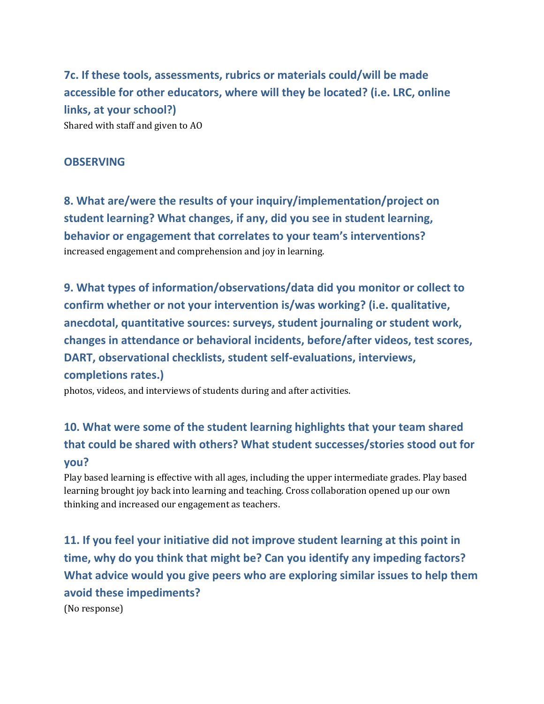**7c. If these tools, assessments, rubrics or materials could/will be made accessible for other educators, where will they be located? (i.e. LRC, online links, at your school?)** Shared with staff and given to AO

#### **OBSERVING**

**8. What are/were the results of your inquiry/implementation/project on student learning? What changes, if any, did you see in student learning, behavior or engagement that correlates to your team's interventions?** increased engagement and comprehension and joy in learning.

**9. What types of information/observations/data did you monitor or collect to confirm whether or not your intervention is/was working? (i.e. qualitative, anecdotal, quantitative sources: surveys, student journaling or student work, changes in attendance or behavioral incidents, before/after videos, test scores, DART, observational checklists, student self-evaluations, interviews, completions rates.)**

photos, videos, and interviews of students during and after activities.

# **10. What were some of the student learning highlights that your team shared that could be shared with others? What student successes/stories stood out for you?**

Play based learning is effective with all ages, including the upper intermediate grades. Play based learning brought joy back into learning and teaching. Cross collaboration opened up our own thinking and increased our engagement as teachers.

**11. If you feel your initiative did not improve student learning at this point in time, why do you think that might be? Can you identify any impeding factors? What advice would you give peers who are exploring similar issues to help them avoid these impediments?**

(No response)